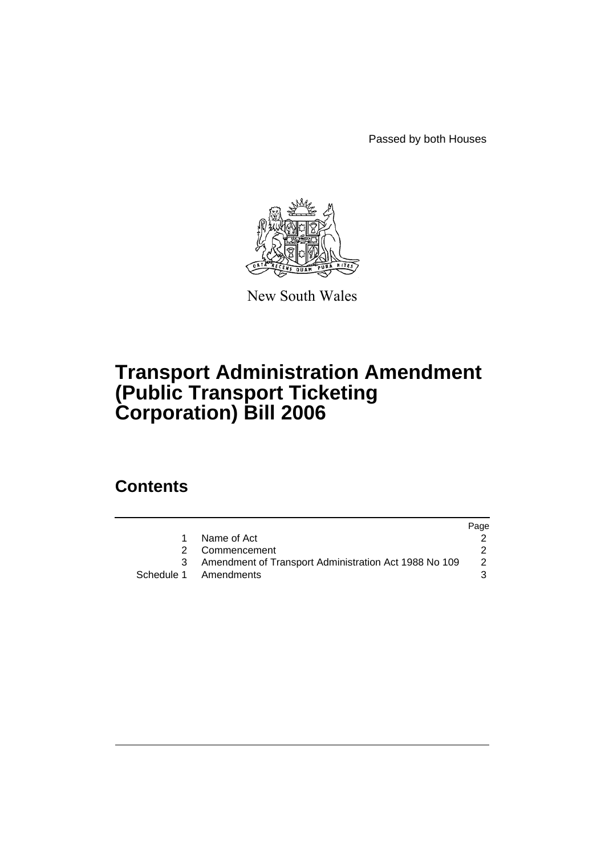Passed by both Houses



New South Wales

# **Transport Administration Amendment (Public Transport Ticketing Corporation) Bill 2006**

# **Contents**

|                                                         | Page |
|---------------------------------------------------------|------|
| Name of Act                                             |      |
| 2 Commencement                                          |      |
| 3 Amendment of Transport Administration Act 1988 No 109 | 2    |
| Schedule 1 Amendments                                   |      |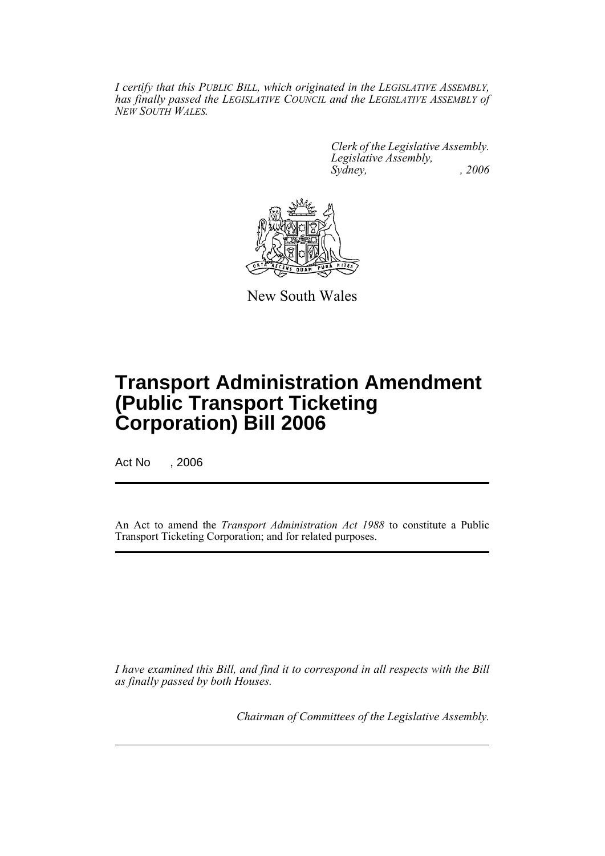*I certify that this PUBLIC BILL, which originated in the LEGISLATIVE ASSEMBLY, has finally passed the LEGISLATIVE COUNCIL and the LEGISLATIVE ASSEMBLY of NEW SOUTH WALES.*

> *Clerk of the Legislative Assembly. Legislative Assembly, Sydney, , 2006*



New South Wales

# **Transport Administration Amendment (Public Transport Ticketing Corporation) Bill 2006**

Act No , 2006

An Act to amend the *Transport Administration Act 1988* to constitute a Public Transport Ticketing Corporation; and for related purposes.

*I have examined this Bill, and find it to correspond in all respects with the Bill as finally passed by both Houses.*

*Chairman of Committees of the Legislative Assembly.*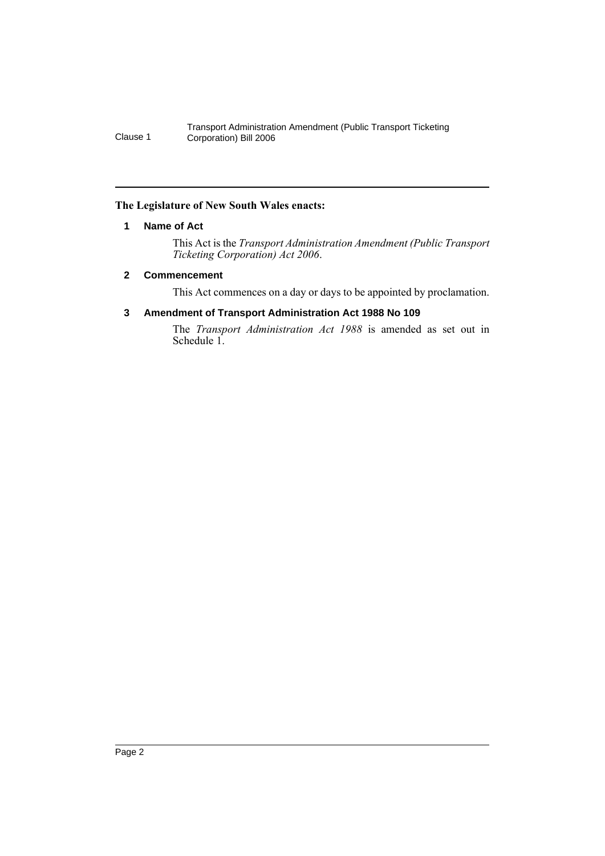#### **The Legislature of New South Wales enacts:**

#### **1 Name of Act**

This Act is the *Transport Administration Amendment (Public Transport Ticketing Corporation) Act 2006*.

#### **2 Commencement**

This Act commences on a day or days to be appointed by proclamation.

# **3 Amendment of Transport Administration Act 1988 No 109**

The *Transport Administration Act 1988* is amended as set out in Schedule 1.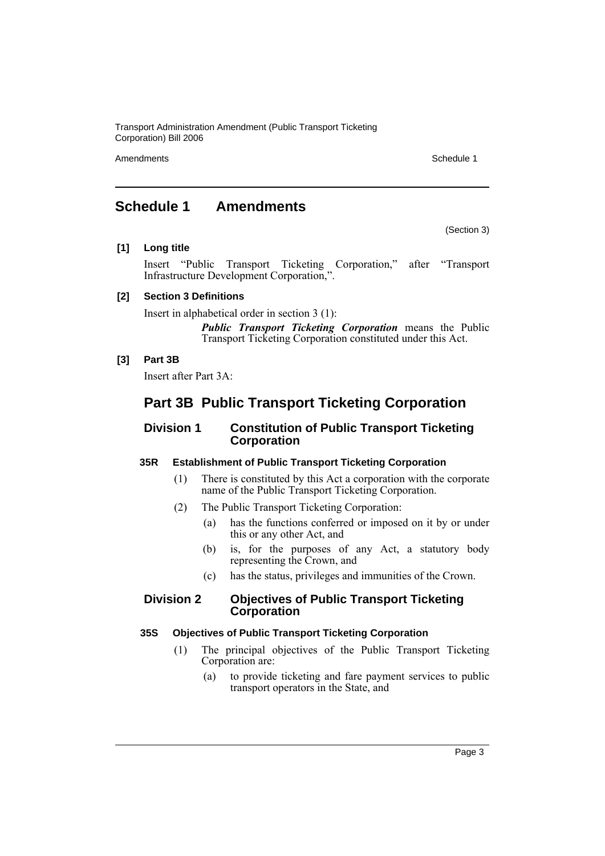Amendments **Schedule 1** and the set of the set of the set of the set of the set of the set of the set of the set of the set of the set of the set of the set of the set of the set of the set of the set of the set of the set

(Section 3)

# **Schedule 1 Amendments**

#### **[1] Long title**

Insert "Public Transport Ticketing Corporation," after "Transport Infrastructure Development Corporation,".

# **[2] Section 3 Definitions**

Insert in alphabetical order in section 3 (1):

*Public Transport Ticketing Corporation* means the Public Transport Ticketing Corporation constituted under this Act.

#### **[3] Part 3B**

Insert after Part 3A:

# **Part 3B Public Transport Ticketing Corporation**

# **Division 1 Constitution of Public Transport Ticketing Corporation**

# **35R Establishment of Public Transport Ticketing Corporation**

- (1) There is constituted by this Act a corporation with the corporate name of the Public Transport Ticketing Corporation.
- (2) The Public Transport Ticketing Corporation:
	- (a) has the functions conferred or imposed on it by or under this or any other Act, and
	- (b) is, for the purposes of any Act, a statutory body representing the Crown, and
	- (c) has the status, privileges and immunities of the Crown.

# **Division 2 Objectives of Public Transport Ticketing Corporation**

#### **35S Objectives of Public Transport Ticketing Corporation**

- (1) The principal objectives of the Public Transport Ticketing Corporation are:
	- (a) to provide ticketing and fare payment services to public transport operators in the State, and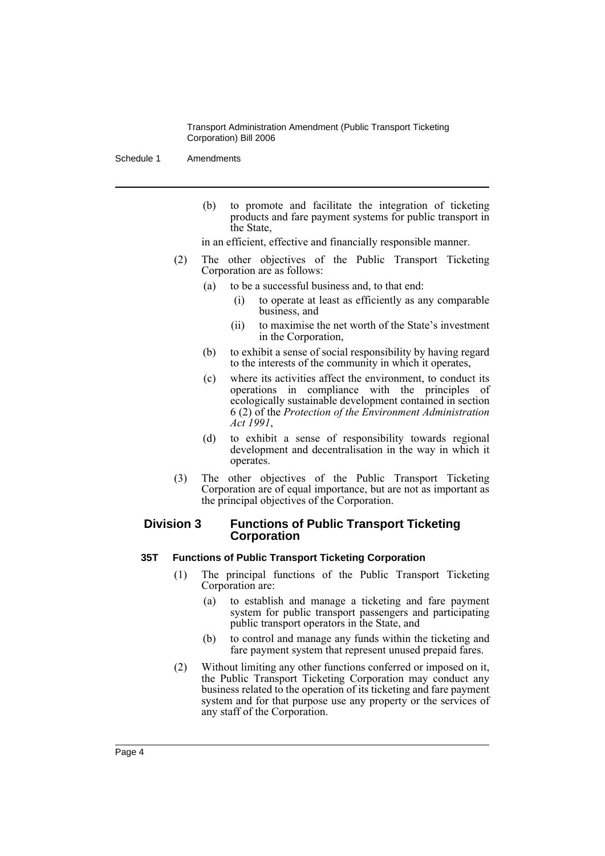Schedule 1 Amendments

(b) to promote and facilitate the integration of ticketing products and fare payment systems for public transport in the State,

in an efficient, effective and financially responsible manner.

- (2) The other objectives of the Public Transport Ticketing Corporation are as follows:
	- (a) to be a successful business and, to that end:
		- (i) to operate at least as efficiently as any comparable business, and
		- (ii) to maximise the net worth of the State's investment in the Corporation,
	- (b) to exhibit a sense of social responsibility by having regard to the interests of the community in which it operates,
	- (c) where its activities affect the environment, to conduct its operations in compliance with the principles of ecologically sustainable development contained in section 6 (2) of the *Protection of the Environment Administration Act 1991*,
	- (d) to exhibit a sense of responsibility towards regional development and decentralisation in the way in which it operates.
- (3) The other objectives of the Public Transport Ticketing Corporation are of equal importance, but are not as important as the principal objectives of the Corporation.

# **Division 3 Functions of Public Transport Ticketing Corporation**

# **35T Functions of Public Transport Ticketing Corporation**

- (1) The principal functions of the Public Transport Ticketing Corporation are:
	- (a) to establish and manage a ticketing and fare payment system for public transport passengers and participating public transport operators in the State, and
	- (b) to control and manage any funds within the ticketing and fare payment system that represent unused prepaid fares.
- (2) Without limiting any other functions conferred or imposed on it, the Public Transport Ticketing Corporation may conduct any business related to the operation of its ticketing and fare payment system and for that purpose use any property or the services of any staff of the Corporation.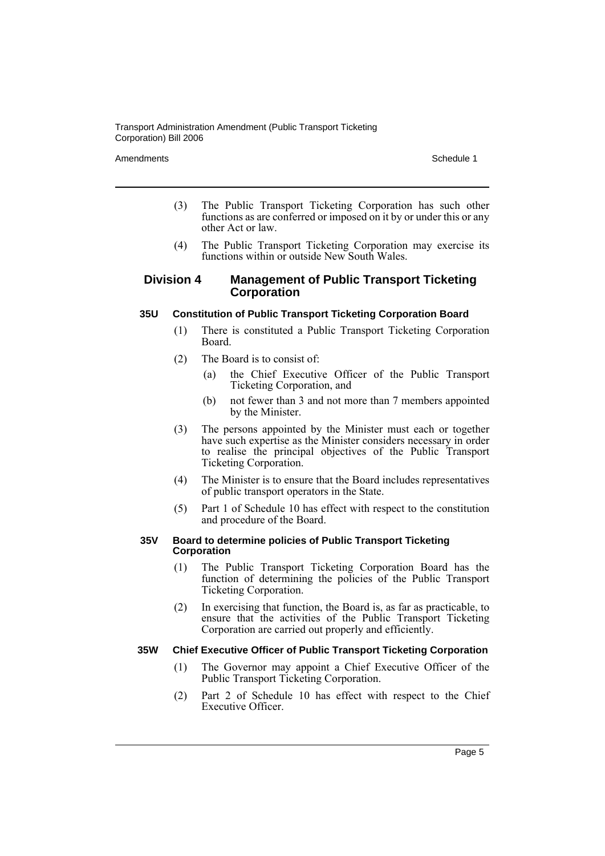#### Amendments **Schedule 1** and the set of the set of the set of the set of the set of the set of the set of the set of the set of the set of the set of the set of the set of the set of the set of the set of the set of the set

- (3) The Public Transport Ticketing Corporation has such other functions as are conferred or imposed on it by or under this or any other Act or law.
- (4) The Public Transport Ticketing Corporation may exercise its functions within or outside New South Wales.

#### **Division 4 Management of Public Transport Ticketing Corporation**

#### **35U Constitution of Public Transport Ticketing Corporation Board**

- (1) There is constituted a Public Transport Ticketing Corporation Board.
- (2) The Board is to consist of:
	- (a) the Chief Executive Officer of the Public Transport Ticketing Corporation, and
	- (b) not fewer than 3 and not more than 7 members appointed by the Minister.
- (3) The persons appointed by the Minister must each or together have such expertise as the Minister considers necessary in order to realise the principal objectives of the Public Transport Ticketing Corporation.
- (4) The Minister is to ensure that the Board includes representatives of public transport operators in the State.
- (5) Part 1 of Schedule 10 has effect with respect to the constitution and procedure of the Board.

#### **35V Board to determine policies of Public Transport Ticketing Corporation**

- (1) The Public Transport Ticketing Corporation Board has the function of determining the policies of the Public Transport Ticketing Corporation.
- (2) In exercising that function, the Board is, as far as practicable, to ensure that the activities of the Public Transport Ticketing Corporation are carried out properly and efficiently.

#### **35W Chief Executive Officer of Public Transport Ticketing Corporation**

- (1) The Governor may appoint a Chief Executive Officer of the Public Transport Ticketing Corporation.
- (2) Part 2 of Schedule 10 has effect with respect to the Chief Executive Officer.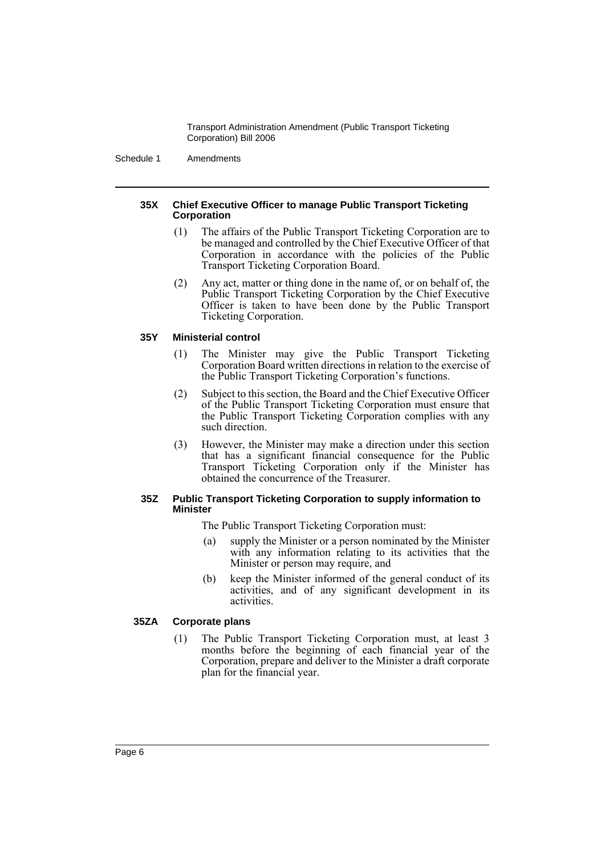Schedule 1 Amendments

#### **35X Chief Executive Officer to manage Public Transport Ticketing Corporation**

- (1) The affairs of the Public Transport Ticketing Corporation are to be managed and controlled by the Chief Executive Officer of that Corporation in accordance with the policies of the Public Transport Ticketing Corporation Board.
- (2) Any act, matter or thing done in the name of, or on behalf of, the Public Transport Ticketing Corporation by the Chief Executive Officer is taken to have been done by the Public Transport Ticketing Corporation.

# **35Y Ministerial control**

- (1) The Minister may give the Public Transport Ticketing Corporation Board written directions in relation to the exercise of the Public Transport Ticketing Corporation's functions.
- (2) Subject to this section, the Board and the Chief Executive Officer of the Public Transport Ticketing Corporation must ensure that the Public Transport Ticketing Corporation complies with any such direction.
- (3) However, the Minister may make a direction under this section that has a significant financial consequence for the Public Transport Ticketing Corporation only if the Minister has obtained the concurrence of the Treasurer.

#### **35Z Public Transport Ticketing Corporation to supply information to Minister**

The Public Transport Ticketing Corporation must:

- (a) supply the Minister or a person nominated by the Minister with any information relating to its activities that the Minister or person may require, and
- (b) keep the Minister informed of the general conduct of its activities, and of any significant development in its activities.

# **35ZA Corporate plans**

(1) The Public Transport Ticketing Corporation must, at least 3 months before the beginning of each financial year of the Corporation, prepare and deliver to the Minister a draft corporate plan for the financial year.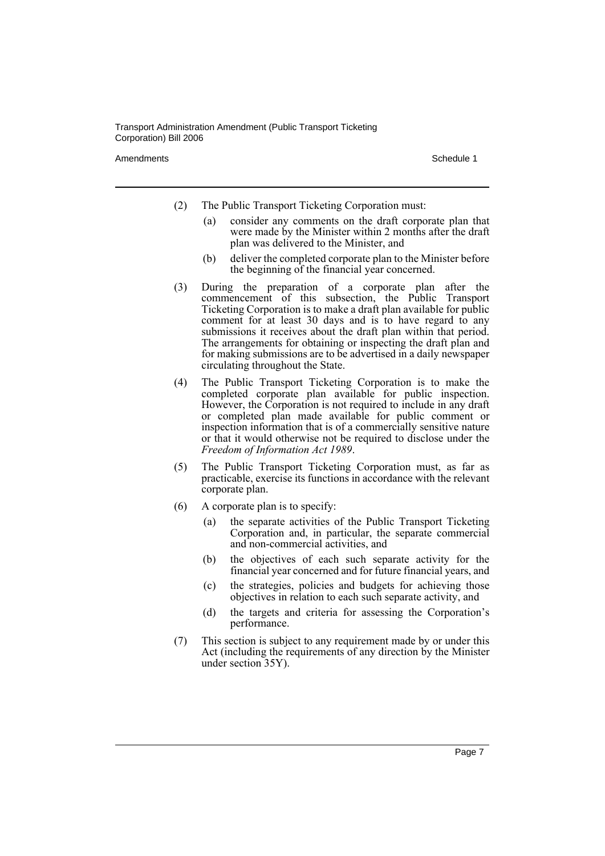Amendments **Schedule 1** and the set of the set of the set of the set of the set of the set of the set of the set of the set of the set of the set of the set of the set of the set of the set of the set of the set of the set

- (2) The Public Transport Ticketing Corporation must:
	- (a) consider any comments on the draft corporate plan that were made by the Minister within 2 months after the draft plan was delivered to the Minister, and
	- (b) deliver the completed corporate plan to the Minister before the beginning of the financial year concerned.
- (3) During the preparation of a corporate plan after the commencement of this subsection, the Public Transport Ticketing Corporation is to make a draft plan available for public comment for at least 30 days and is to have regard to any submissions it receives about the draft plan within that period. The arrangements for obtaining or inspecting the draft plan and for making submissions are to be advertised in a daily newspaper circulating throughout the State.
- (4) The Public Transport Ticketing Corporation is to make the completed corporate plan available for public inspection. However, the Corporation is not required to include in any draft or completed plan made available for public comment or inspection information that is of a commercially sensitive nature or that it would otherwise not be required to disclose under the *Freedom of Information Act 1989*.
- (5) The Public Transport Ticketing Corporation must, as far as practicable, exercise its functions in accordance with the relevant corporate plan.
- (6) A corporate plan is to specify:
	- (a) the separate activities of the Public Transport Ticketing Corporation and, in particular, the separate commercial and non-commercial activities, and
	- (b) the objectives of each such separate activity for the financial year concerned and for future financial years, and
	- (c) the strategies, policies and budgets for achieving those objectives in relation to each such separate activity, and
	- (d) the targets and criteria for assessing the Corporation's performance.
- (7) This section is subject to any requirement made by or under this Act (including the requirements of any direction by the Minister under section 35Y).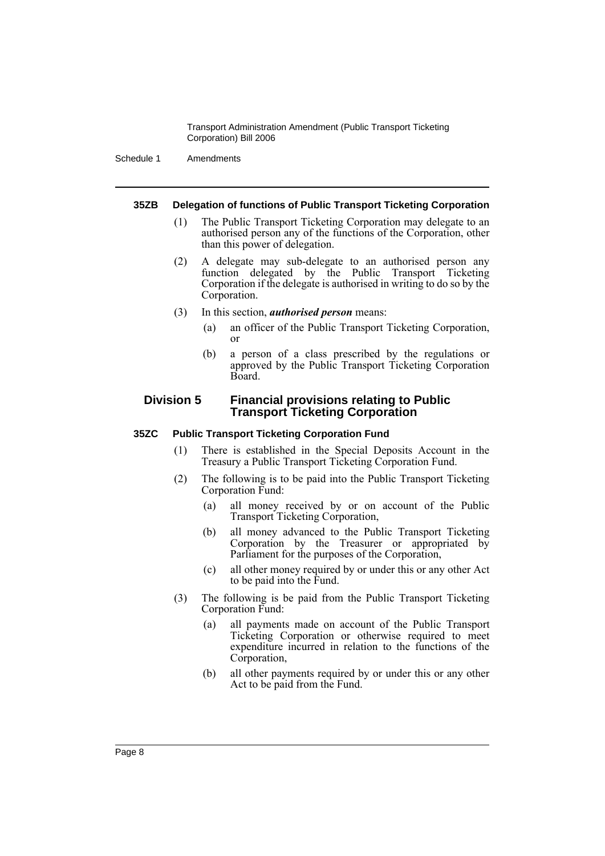Schedule 1 Amendments

#### **35ZB Delegation of functions of Public Transport Ticketing Corporation**

- (1) The Public Transport Ticketing Corporation may delegate to an authorised person any of the functions of the Corporation, other than this power of delegation.
- (2) A delegate may sub-delegate to an authorised person any function delegated by the Public Transport Ticketing Corporation if the delegate is authorised in writing to do so by the Corporation.
- (3) In this section, *authorised person* means:
	- (a) an officer of the Public Transport Ticketing Corporation, or
	- (b) a person of a class prescribed by the regulations or approved by the Public Transport Ticketing Corporation Board.

# **Division 5 Financial provisions relating to Public Transport Ticketing Corporation**

#### **35ZC Public Transport Ticketing Corporation Fund**

- (1) There is established in the Special Deposits Account in the Treasury a Public Transport Ticketing Corporation Fund.
- (2) The following is to be paid into the Public Transport Ticketing Corporation Fund:
	- (a) all money received by or on account of the Public Transport Ticketing Corporation,
	- (b) all money advanced to the Public Transport Ticketing Corporation by the Treasurer or appropriated by Parliament for the purposes of the Corporation,
	- (c) all other money required by or under this or any other Act to be paid into the Fund.
- (3) The following is be paid from the Public Transport Ticketing Corporation Fund:
	- (a) all payments made on account of the Public Transport Ticketing Corporation or otherwise required to meet expenditure incurred in relation to the functions of the Corporation,
	- (b) all other payments required by or under this or any other Act to be paid from the Fund.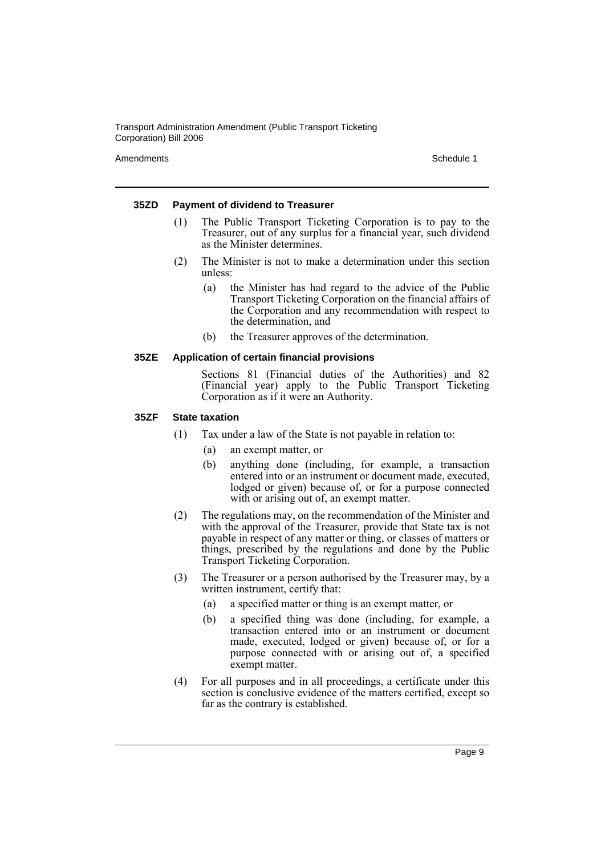Amendments **Schedule 1** and the set of the set of the set of the set of the set of the set of the set of the set of the set of the set of the set of the set of the set of the set of the set of the set of the set of the set

#### **35ZD Payment of dividend to Treasurer**

- (1) The Public Transport Ticketing Corporation is to pay to the Treasurer, out of any surplus for a financial year, such dividend as the Minister determines.
- (2) The Minister is not to make a determination under this section unless:
	- (a) the Minister has had regard to the advice of the Public Transport Ticketing Corporation on the financial affairs of the Corporation and any recommendation with respect to the determination, and
	- (b) the Treasurer approves of the determination.

#### **35ZE Application of certain financial provisions**

Sections 81 (Financial duties of the Authorities) and 82 (Financial year) apply to the Public Transport Ticketing Corporation as if it were an Authority.

#### **35ZF State taxation**

- (1) Tax under a law of the State is not payable in relation to:
	- (a) an exempt matter, or
	- (b) anything done (including, for example, a transaction entered into or an instrument or document made, executed, lodged or given) because of, or for a purpose connected with or arising out of, an exempt matter.
- (2) The regulations may, on the recommendation of the Minister and with the approval of the Treasurer, provide that State tax is not payable in respect of any matter or thing, or classes of matters or things, prescribed by the regulations and done by the Public Transport Ticketing Corporation.
- (3) The Treasurer or a person authorised by the Treasurer may, by a written instrument, certify that:
	- (a) a specified matter or thing is an exempt matter, or
	- (b) a specified thing was done (including, for example, a transaction entered into or an instrument or document made, executed, lodged or given) because of, or for a purpose connected with or arising out of, a specified exempt matter.
- (4) For all purposes and in all proceedings, a certificate under this section is conclusive evidence of the matters certified, except so far as the contrary is established.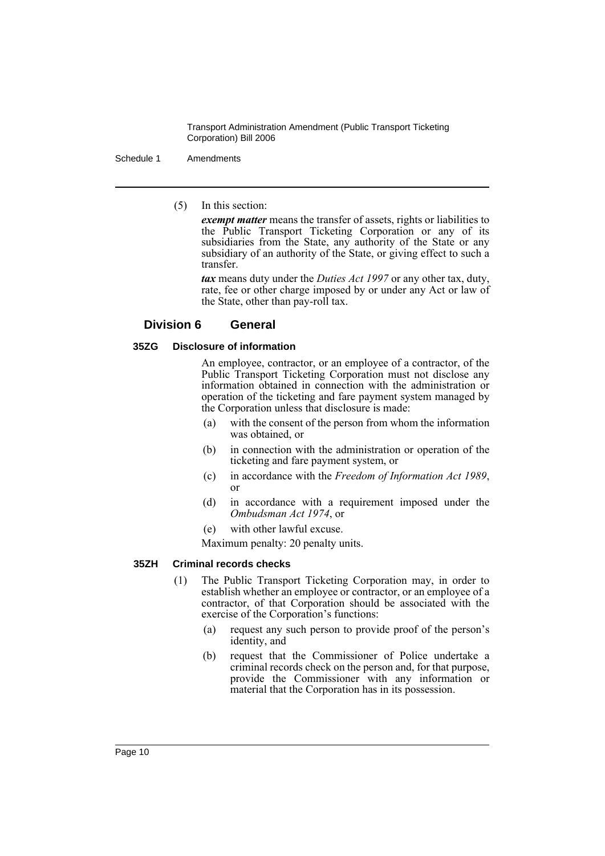Schedule 1 Amendments

(5) In this section:

*exempt matter* means the transfer of assets, rights or liabilities to the Public Transport Ticketing Corporation or any of its subsidiaries from the State, any authority of the State or any subsidiary of an authority of the State, or giving effect to such a transfer.

*tax* means duty under the *Duties Act 1997* or any other tax, duty, rate, fee or other charge imposed by or under any Act or law of the State, other than pay-roll tax.

# **Division 6 General**

# **35ZG Disclosure of information**

An employee, contractor, or an employee of a contractor, of the Public Transport Ticketing Corporation must not disclose any information obtained in connection with the administration or operation of the ticketing and fare payment system managed by the Corporation unless that disclosure is made:

- (a) with the consent of the person from whom the information was obtained, or
- (b) in connection with the administration or operation of the ticketing and fare payment system, or
- (c) in accordance with the *Freedom of Information Act 1989*, or
- (d) in accordance with a requirement imposed under the *Ombudsman Act 1974*, or
- (e) with other lawful excuse.

Maximum penalty: 20 penalty units.

# **35ZH Criminal records checks**

- (1) The Public Transport Ticketing Corporation may, in order to establish whether an employee or contractor, or an employee of a contractor, of that Corporation should be associated with the exercise of the Corporation's functions:
	- (a) request any such person to provide proof of the person's identity, and
	- (b) request that the Commissioner of Police undertake a criminal records check on the person and, for that purpose, provide the Commissioner with any information or material that the Corporation has in its possession.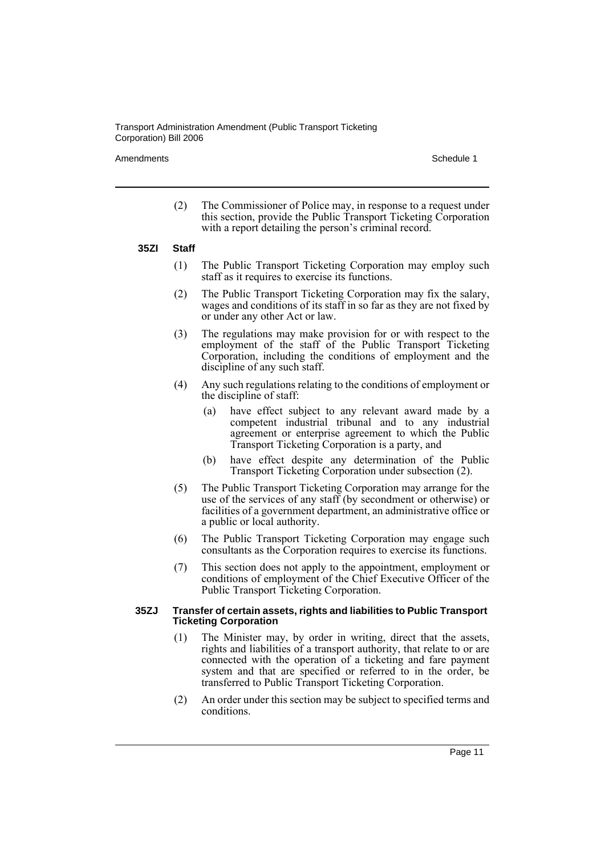Amendments **Amendments** Schedule 1

(2) The Commissioner of Police may, in response to a request under this section, provide the Public Transport Ticketing Corporation with a report detailing the person's criminal record.

#### **35ZI Staff**

- (1) The Public Transport Ticketing Corporation may employ such staff as it requires to exercise its functions.
- (2) The Public Transport Ticketing Corporation may fix the salary, wages and conditions of its staff in so far as they are not fixed by or under any other Act or law.
- (3) The regulations may make provision for or with respect to the employment of the staff of the Public Transport Ticketing Corporation, including the conditions of employment and the discipline of any such staff.
- (4) Any such regulations relating to the conditions of employment or the discipline of staff:
	- (a) have effect subject to any relevant award made by a competent industrial tribunal and to any industrial agreement or enterprise agreement to which the Public Transport Ticketing Corporation is a party, and
	- (b) have effect despite any determination of the Public Transport Ticketing Corporation under subsection (2).
- (5) The Public Transport Ticketing Corporation may arrange for the use of the services of any staff (by secondment or otherwise) or facilities of a government department, an administrative office or a public or local authority.
- (6) The Public Transport Ticketing Corporation may engage such consultants as the Corporation requires to exercise its functions.
- (7) This section does not apply to the appointment, employment or conditions of employment of the Chief Executive Officer of the Public Transport Ticketing Corporation.

#### **35ZJ Transfer of certain assets, rights and liabilities to Public Transport Ticketing Corporation**

- (1) The Minister may, by order in writing, direct that the assets, rights and liabilities of a transport authority, that relate to or are connected with the operation of a ticketing and fare payment system and that are specified or referred to in the order, be transferred to Public Transport Ticketing Corporation.
- (2) An order under this section may be subject to specified terms and conditions.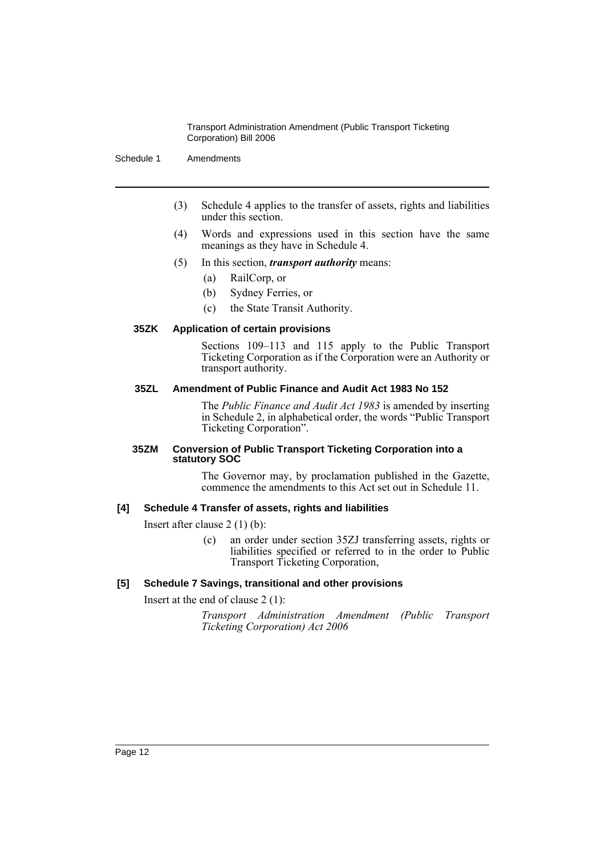Schedule 1 Amendments

- (3) Schedule 4 applies to the transfer of assets, rights and liabilities under this section.
- (4) Words and expressions used in this section have the same meanings as they have in Schedule 4.
- (5) In this section, *transport authority* means:
	- (a) RailCorp, or
	- (b) Sydney Ferries, or
	- (c) the State Transit Authority.

# **35ZK Application of certain provisions**

Sections 109–113 and 115 apply to the Public Transport Ticketing Corporation as if the Corporation were an Authority or transport authority.

#### **35ZL Amendment of Public Finance and Audit Act 1983 No 152**

The *Public Finance and Audit Act 1983* is amended by inserting in Schedule 2, in alphabetical order, the words "Public Transport Ticketing Corporation".

#### **35ZM Conversion of Public Transport Ticketing Corporation into a statutory SOC**

The Governor may, by proclamation published in the Gazette, commence the amendments to this Act set out in Schedule 11.

# **[4] Schedule 4 Transfer of assets, rights and liabilities**

Insert after clause 2 (1) (b):

(c) an order under section 35ZJ transferring assets, rights or liabilities specified or referred to in the order to Public Transport Ticketing Corporation,

# **[5] Schedule 7 Savings, transitional and other provisions**

Insert at the end of clause 2 (1):

*Transport Administration Amendment (Public Transport Ticketing Corporation) Act 2006*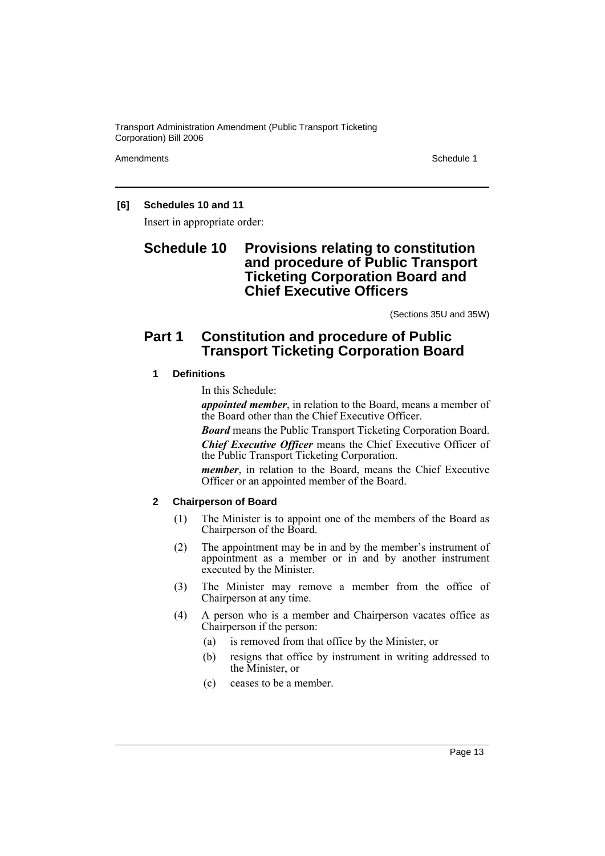Amendments **Amendments** Schedule 1

# **[6] Schedules 10 and 11**

Insert in appropriate order:

# **Schedule 10 Provisions relating to constitution and procedure of Public Transport Ticketing Corporation Board and Chief Executive Officers**

(Sections 35U and 35W)

# **Part 1 Constitution and procedure of Public Transport Ticketing Corporation Board**

# **1 Definitions**

In this Schedule:

*appointed member*, in relation to the Board, means a member of the Board other than the Chief Executive Officer.

*Board* means the Public Transport Ticketing Corporation Board.

*Chief Executive Officer* means the Chief Executive Officer of the Public Transport Ticketing Corporation.

*member*, in relation to the Board, means the Chief Executive Officer or an appointed member of the Board.

# **2 Chairperson of Board**

- (1) The Minister is to appoint one of the members of the Board as Chairperson of the Board.
- (2) The appointment may be in and by the member's instrument of appointment as a member or in and by another instrument executed by the Minister.
- (3) The Minister may remove a member from the office of Chairperson at any time.
- (4) A person who is a member and Chairperson vacates office as Chairperson if the person:
	- (a) is removed from that office by the Minister, or
	- (b) resigns that office by instrument in writing addressed to the Minister, or
	- (c) ceases to be a member.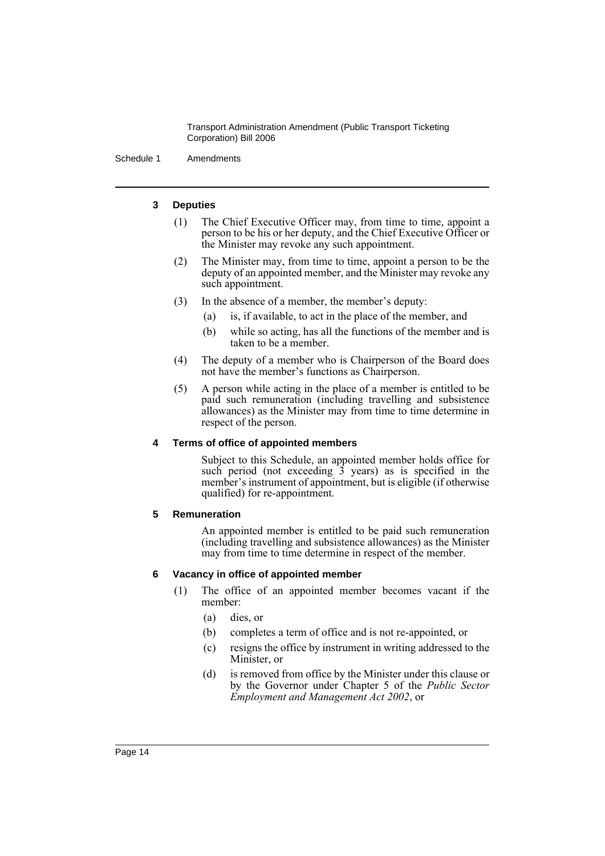Schedule 1 Amendments

#### **3 Deputies**

- (1) The Chief Executive Officer may, from time to time, appoint a person to be his or her deputy, and the Chief Executive Officer or the Minister may revoke any such appointment.
- (2) The Minister may, from time to time, appoint a person to be the deputy of an appointed member, and the Minister may revoke any such appointment.
- (3) In the absence of a member, the member's deputy:
	- (a) is, if available, to act in the place of the member, and
	- (b) while so acting, has all the functions of the member and is taken to be a member.
- (4) The deputy of a member who is Chairperson of the Board does not have the member's functions as Chairperson.
- (5) A person while acting in the place of a member is entitled to be paid such remuneration (including travelling and subsistence allowances) as the Minister may from time to time determine in respect of the person.

# **4 Terms of office of appointed members**

Subject to this Schedule, an appointed member holds office for such period (not exceeding  $\hat{3}$  years) as is specified in the member's instrument of appointment, but is eligible (if otherwise qualified) for re-appointment.

# **5 Remuneration**

An appointed member is entitled to be paid such remuneration (including travelling and subsistence allowances) as the Minister may from time to time determine in respect of the member.

# **6 Vacancy in office of appointed member**

- (1) The office of an appointed member becomes vacant if the member:
	- (a) dies, or
	- (b) completes a term of office and is not re-appointed, or
	- (c) resigns the office by instrument in writing addressed to the Minister, or
	- (d) is removed from office by the Minister under this clause or by the Governor under Chapter 5 of the *Public Sector Employment and Management Act 2002*, or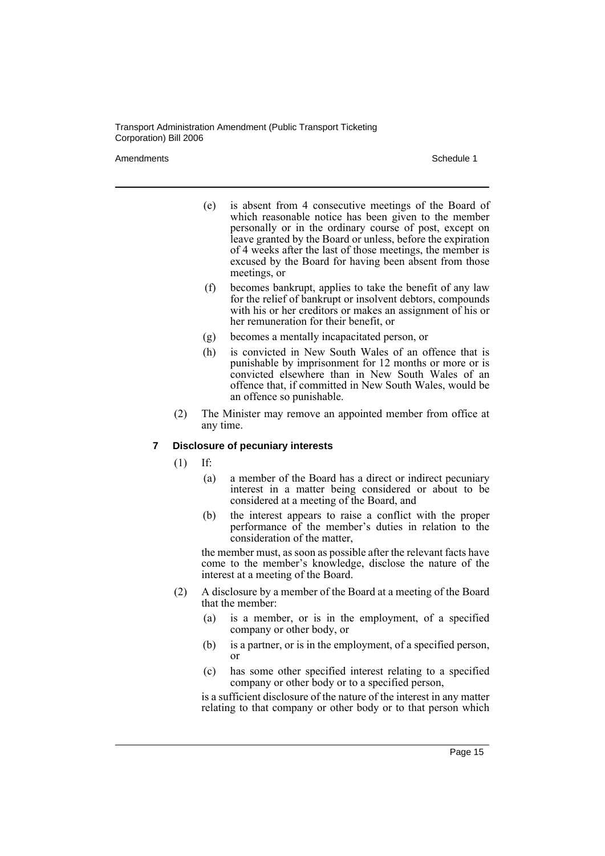Amendments **Amendments** Schedule 1

- (e) is absent from 4 consecutive meetings of the Board of which reasonable notice has been given to the member personally or in the ordinary course of post, except on leave granted by the Board or unless, before the expiration of 4 weeks after the last of those meetings, the member is excused by the Board for having been absent from those meetings, or
- (f) becomes bankrupt, applies to take the benefit of any law for the relief of bankrupt or insolvent debtors, compounds with his or her creditors or makes an assignment of his or her remuneration for their benefit, or
- (g) becomes a mentally incapacitated person, or
- (h) is convicted in New South Wales of an offence that is punishable by imprisonment for 12 months or more or is convicted elsewhere than in New South Wales of an offence that, if committed in New South Wales, would be an offence so punishable.
- (2) The Minister may remove an appointed member from office at any time.

# **7 Disclosure of pecuniary interests**

(1) If:

- (a) a member of the Board has a direct or indirect pecuniary interest in a matter being considered or about to be considered at a meeting of the Board, and
- (b) the interest appears to raise a conflict with the proper performance of the member's duties in relation to the consideration of the matter,

the member must, as soon as possible after the relevant facts have come to the member's knowledge, disclose the nature of the interest at a meeting of the Board.

- (2) A disclosure by a member of the Board at a meeting of the Board that the member:
	- (a) is a member, or is in the employment, of a specified company or other body, or
	- (b) is a partner, or is in the employment, of a specified person, or
	- (c) has some other specified interest relating to a specified company or other body or to a specified person,

is a sufficient disclosure of the nature of the interest in any matter relating to that company or other body or to that person which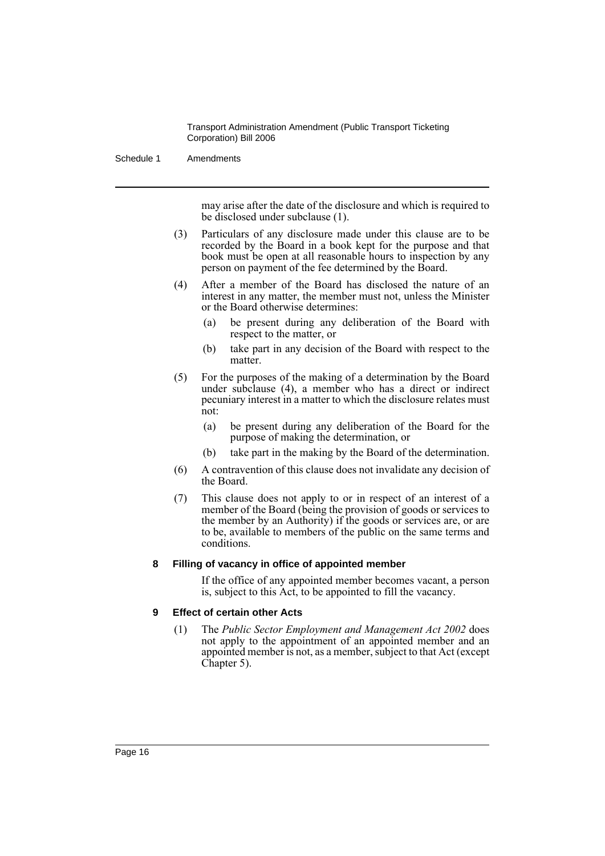Schedule 1 Amendments

may arise after the date of the disclosure and which is required to be disclosed under subclause (1).

- (3) Particulars of any disclosure made under this clause are to be recorded by the Board in a book kept for the purpose and that book must be open at all reasonable hours to inspection by any person on payment of the fee determined by the Board.
- (4) After a member of the Board has disclosed the nature of an interest in any matter, the member must not, unless the Minister or the Board otherwise determines:
	- (a) be present during any deliberation of the Board with respect to the matter, or
	- (b) take part in any decision of the Board with respect to the matter.
- (5) For the purposes of the making of a determination by the Board under subclause (4), a member who has a direct or indirect pecuniary interest in a matter to which the disclosure relates must not:
	- (a) be present during any deliberation of the Board for the purpose of making the determination, or
	- (b) take part in the making by the Board of the determination.
- (6) A contravention of this clause does not invalidate any decision of the Board.
- (7) This clause does not apply to or in respect of an interest of a member of the Board (being the provision of goods or services to the member by an Authority) if the goods or services are, or are to be, available to members of the public on the same terms and conditions.

# **8 Filling of vacancy in office of appointed member**

If the office of any appointed member becomes vacant, a person is, subject to this Act, to be appointed to fill the vacancy.

# **9 Effect of certain other Acts**

(1) The *Public Sector Employment and Management Act 2002* does not apply to the appointment of an appointed member and an appointed member is not, as a member, subject to that Act (except Chapter 5).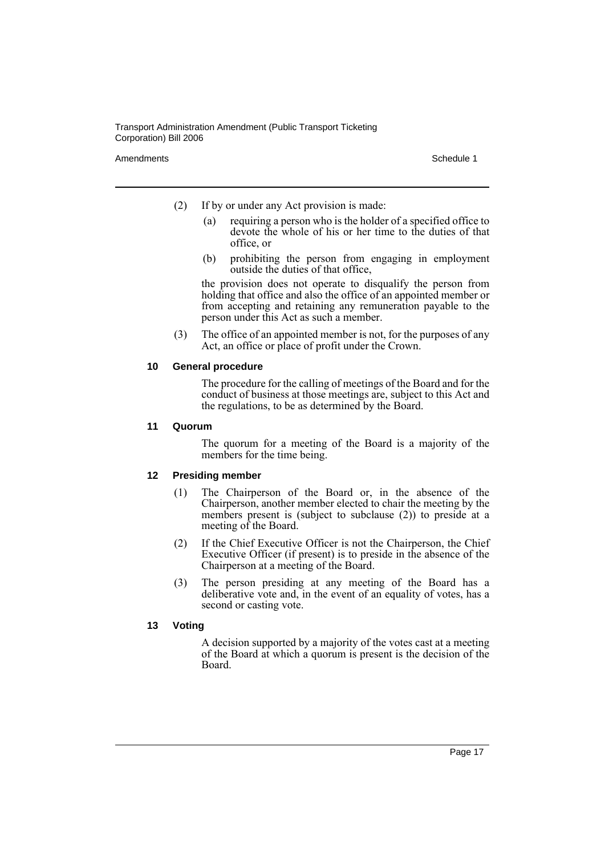Amendments **Schedule 1** and the set of the set of the set of the set of the set of the set of the set of the set of the set of the set of the set of the set of the set of the set of the set of the set of the set of the set

- (2) If by or under any Act provision is made:
	- (a) requiring a person who is the holder of a specified office to devote the whole of his or her time to the duties of that office, or
	- (b) prohibiting the person from engaging in employment outside the duties of that office,

the provision does not operate to disqualify the person from holding that office and also the office of an appointed member or from accepting and retaining any remuneration payable to the person under this Act as such a member.

(3) The office of an appointed member is not, for the purposes of any Act, an office or place of profit under the Crown.

#### **10 General procedure**

The procedure for the calling of meetings of the Board and for the conduct of business at those meetings are, subject to this Act and the regulations, to be as determined by the Board.

#### **11 Quorum**

The quorum for a meeting of the Board is a majority of the members for the time being.

# **12 Presiding member**

- (1) The Chairperson of the Board or, in the absence of the Chairperson, another member elected to chair the meeting by the members present is (subject to subclause (2)) to preside at a meeting of the Board.
- (2) If the Chief Executive Officer is not the Chairperson, the Chief Executive Officer (if present) is to preside in the absence of the Chairperson at a meeting of the Board.
- (3) The person presiding at any meeting of the Board has a deliberative vote and, in the event of an equality of votes, has a second or casting vote.

# **13 Voting**

A decision supported by a majority of the votes cast at a meeting of the Board at which a quorum is present is the decision of the Board.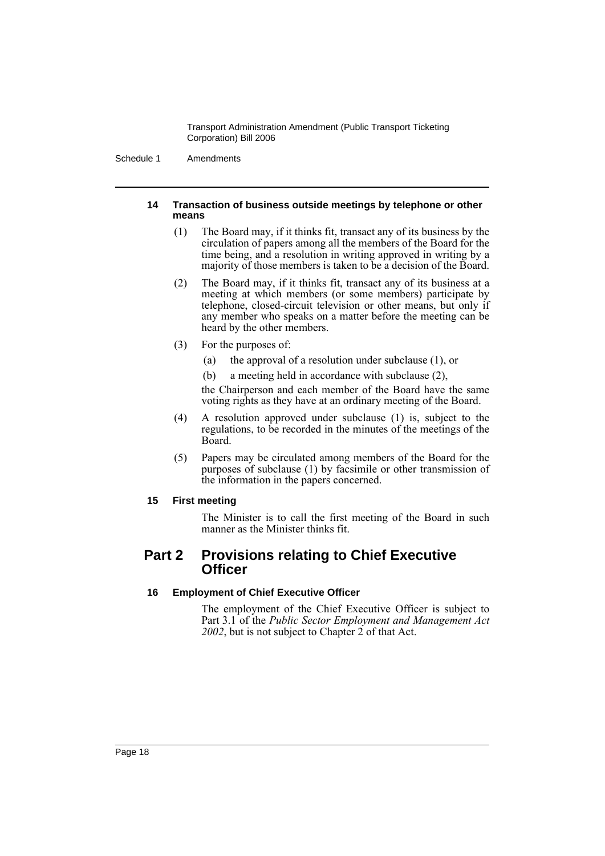Schedule 1 Amendments

#### **14 Transaction of business outside meetings by telephone or other means**

- (1) The Board may, if it thinks fit, transact any of its business by the circulation of papers among all the members of the Board for the time being, and a resolution in writing approved in writing by a majority of those members is taken to be a decision of the Board.
- (2) The Board may, if it thinks fit, transact any of its business at a meeting at which members (or some members) participate by telephone, closed-circuit television or other means, but only if any member who speaks on a matter before the meeting can be heard by the other members.
- (3) For the purposes of:
	- (a) the approval of a resolution under subclause (1), or
	- (b) a meeting held in accordance with subclause (2),

the Chairperson and each member of the Board have the same voting rights as they have at an ordinary meeting of the Board.

- (4) A resolution approved under subclause (1) is, subject to the regulations, to be recorded in the minutes of the meetings of the Board.
- (5) Papers may be circulated among members of the Board for the purposes of subclause (1) by facsimile or other transmission of the information in the papers concerned.

# **15 First meeting**

The Minister is to call the first meeting of the Board in such manner as the Minister thinks fit.

# **Part 2 Provisions relating to Chief Executive Officer**

# **16 Employment of Chief Executive Officer**

The employment of the Chief Executive Officer is subject to Part 3.1 of the *Public Sector Employment and Management Act 2002*, but is not subject to Chapter 2 of that Act.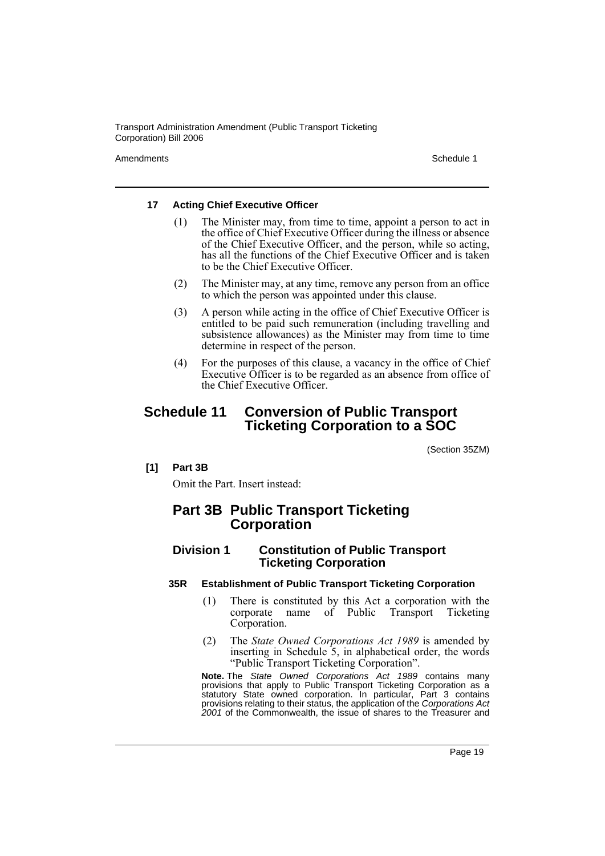Amendments **Amendments** Schedule 1

#### **17 Acting Chief Executive Officer**

- (1) The Minister may, from time to time, appoint a person to act in the office of Chief Executive Officer during the illness or absence of the Chief Executive Officer, and the person, while so acting, has all the functions of the Chief Executive Officer and is taken to be the Chief Executive Officer.
- (2) The Minister may, at any time, remove any person from an office to which the person was appointed under this clause.
- (3) A person while acting in the office of Chief Executive Officer is entitled to be paid such remuneration (including travelling and subsistence allowances) as the Minister may from time to time determine in respect of the person.
- (4) For the purposes of this clause, a vacancy in the office of Chief Executive Officer is to be regarded as an absence from office of the Chief Executive Officer.

# **Schedule 11 Conversion of Public Transport Ticketing Corporation to a SOC**

(Section 35ZM)

#### **[1] Part 3B**

Omit the Part. Insert instead:

# **Part 3B Public Transport Ticketing Corporation**

# **Division 1 Constitution of Public Transport Ticketing Corporation**

#### **35R Establishment of Public Transport Ticketing Corporation**

- (1) There is constituted by this Act a corporation with the corporate name of Public Transport Ticketing Corporation.
- (2) The *State Owned Corporations Act 1989* is amended by inserting in Schedule 5, in alphabetical order, the words "Public Transport Ticketing Corporation".

**Note.** The *State Owned Corporations Act 1989* contains many provisions that apply to Public Transport Ticketing Corporation as a statutory State owned corporation. In particular, Part 3 contains provisions relating to their status, the application of the *Corporations Act 2001* of the Commonwealth, the issue of shares to the Treasurer and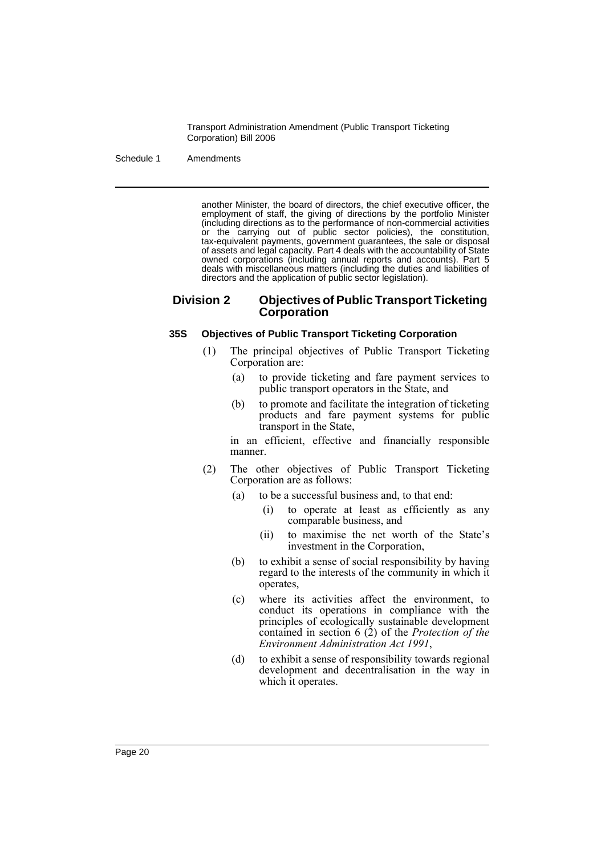Schedule 1 Amendments

another Minister, the board of directors, the chief executive officer, the employment of staff, the giving of directions by the portfolio Minister (including directions as to the performance of non-commercial activities or the carrying out of public sector policies), the constitution, tax-equivalent payments, government guarantees, the sale or disposal of assets and legal capacity. Part 4 deals with the accountability of State owned corporations (including annual reports and accounts). Part 5 deals with miscellaneous matters (including the duties and liabilities of directors and the application of public sector legislation).

# **Division 2 Objectives of Public Transport Ticketing Corporation**

#### **35S Objectives of Public Transport Ticketing Corporation**

- (1) The principal objectives of Public Transport Ticketing Corporation are:
	- (a) to provide ticketing and fare payment services to public transport operators in the State, and
	- (b) to promote and facilitate the integration of ticketing products and fare payment systems for public transport in the State,

in an efficient, effective and financially responsible manner.

- (2) The other objectives of Public Transport Ticketing Corporation are as follows:
	- (a) to be a successful business and, to that end:
		- (i) to operate at least as efficiently as any comparable business, and
		- (ii) to maximise the net worth of the State's investment in the Corporation,
	- (b) to exhibit a sense of social responsibility by having regard to the interests of the community in which it operates,
	- (c) where its activities affect the environment, to conduct its operations in compliance with the principles of ecologically sustainable development contained in section 6 (2) of the *Protection of the Environment Administration Act 1991*,
	- (d) to exhibit a sense of responsibility towards regional development and decentralisation in the way in which it operates.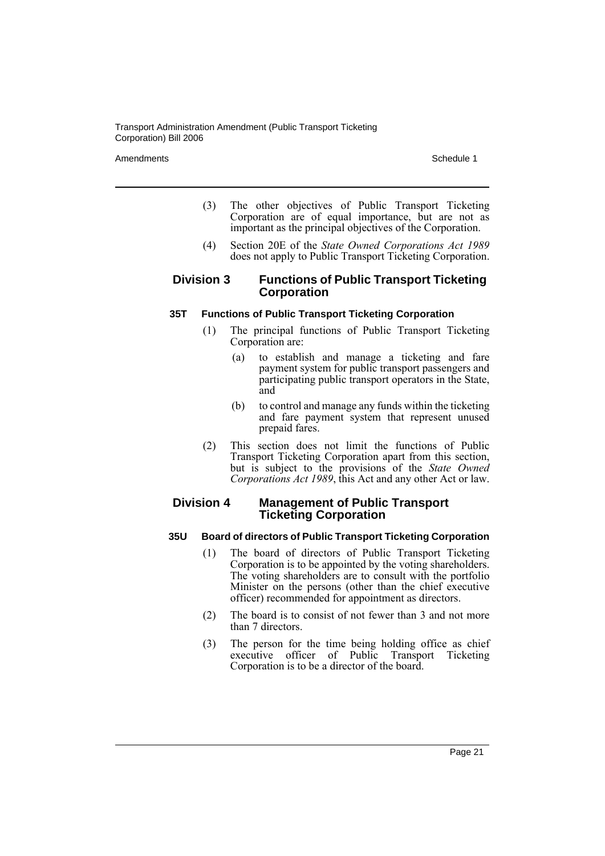Amendments **Schedule 1** and the set of the set of the set of the set of the set of the set of the set of the set of the set of the set of the set of the set of the set of the set of the set of the set of the set of the set

- (3) The other objectives of Public Transport Ticketing Corporation are of equal importance, but are not as important as the principal objectives of the Corporation.
- (4) Section 20E of the *State Owned Corporations Act 1989* does not apply to Public Transport Ticketing Corporation.

# **Division 3 Functions of Public Transport Ticketing Corporation**

#### **35T Functions of Public Transport Ticketing Corporation**

- (1) The principal functions of Public Transport Ticketing Corporation are:
	- (a) to establish and manage a ticketing and fare payment system for public transport passengers and participating public transport operators in the State, and
	- (b) to control and manage any funds within the ticketing and fare payment system that represent unused prepaid fares.
- (2) This section does not limit the functions of Public Transport Ticketing Corporation apart from this section, but is subject to the provisions of the *State Owned Corporations Act 1989*, this Act and any other Act or law.

# **Division 4 Management of Public Transport Ticketing Corporation**

#### **35U Board of directors of Public Transport Ticketing Corporation**

- (1) The board of directors of Public Transport Ticketing Corporation is to be appointed by the voting shareholders. The voting shareholders are to consult with the portfolio Minister on the persons (other than the chief executive officer) recommended for appointment as directors.
- (2) The board is to consist of not fewer than 3 and not more than 7 directors.
- (3) The person for the time being holding office as chief executive officer of Public Transport Ticketing Corporation is to be a director of the board.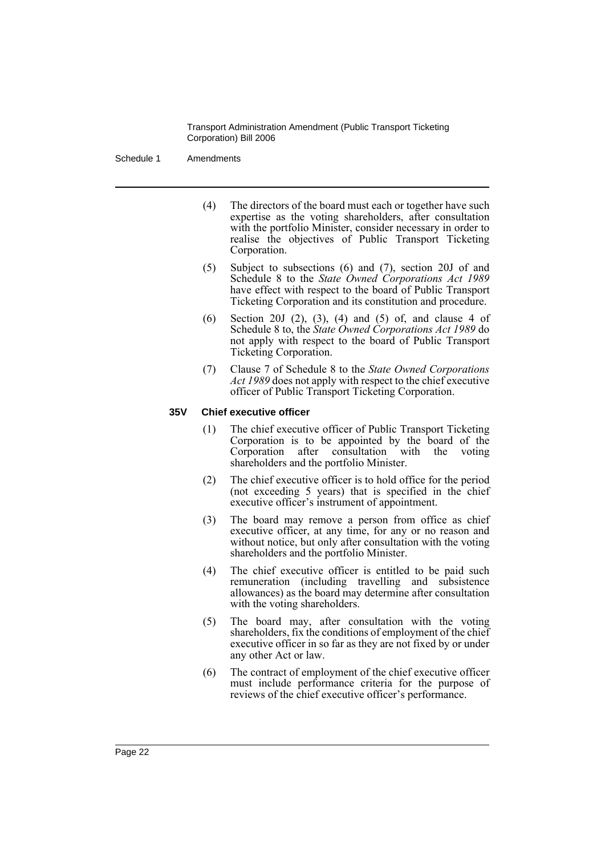Schedule 1 Amendments

- (4) The directors of the board must each or together have such expertise as the voting shareholders, after consultation with the portfolio Minister, consider necessary in order to realise the objectives of Public Transport Ticketing Corporation.
- (5) Subject to subsections (6) and (7), section 20J of and Schedule 8 to the *State Owned Corporations Act 1989* have effect with respect to the board of Public Transport Ticketing Corporation and its constitution and procedure.
- (6) Section 20J (2), (3), (4) and (5) of, and clause 4 of Schedule 8 to, the *State Owned Corporations Act 1989* do not apply with respect to the board of Public Transport Ticketing Corporation.
- (7) Clause 7 of Schedule 8 to the *State Owned Corporations Act 1989* does not apply with respect to the chief executive officer of Public Transport Ticketing Corporation.

#### **35V Chief executive officer**

- (1) The chief executive officer of Public Transport Ticketing Corporation is to be appointed by the board of the Corporation after consultation with the voting shareholders and the portfolio Minister.
- (2) The chief executive officer is to hold office for the period (not exceeding 5 years) that is specified in the chief executive officer's instrument of appointment.
- (3) The board may remove a person from office as chief executive officer, at any time, for any or no reason and without notice, but only after consultation with the voting shareholders and the portfolio Minister.
- (4) The chief executive officer is entitled to be paid such remuneration (including travelling and subsistence allowances) as the board may determine after consultation with the voting shareholders.
- (5) The board may, after consultation with the voting shareholders, fix the conditions of employment of the chief executive officer in so far as they are not fixed by or under any other Act or law.
- (6) The contract of employment of the chief executive officer must include performance criteria for the purpose of reviews of the chief executive officer's performance.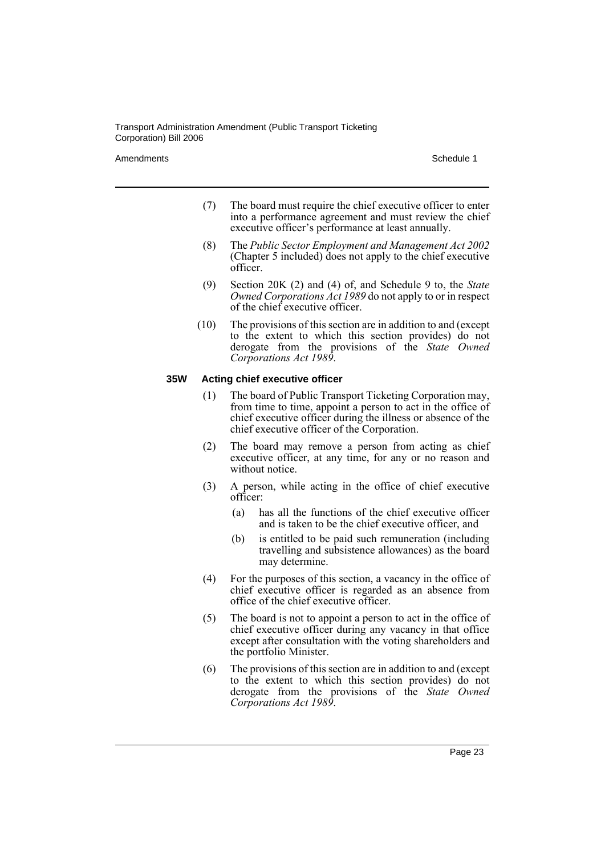Amendments **Amendments** Schedule 1

- (7) The board must require the chief executive officer to enter into a performance agreement and must review the chief executive officer's performance at least annually.
- (8) The *Public Sector Employment and Management Act 2002* (Chapter 5 included) does not apply to the chief executive officer.
- (9) Section 20K (2) and (4) of, and Schedule 9 to, the *State Owned Corporations Act 1989* do not apply to or in respect of the chief executive officer.
- (10) The provisions of this section are in addition to and (except to the extent to which this section provides) do not derogate from the provisions of the *State Owned Corporations Act 1989*.

#### **35W Acting chief executive officer**

- (1) The board of Public Transport Ticketing Corporation may, from time to time, appoint a person to act in the office of chief executive officer during the illness or absence of the chief executive officer of the Corporation.
- (2) The board may remove a person from acting as chief executive officer, at any time, for any or no reason and without notice.
- (3) A person, while acting in the office of chief executive officer:
	- (a) has all the functions of the chief executive officer and is taken to be the chief executive officer, and
	- (b) is entitled to be paid such remuneration (including travelling and subsistence allowances) as the board may determine.
- (4) For the purposes of this section, a vacancy in the office of chief executive officer is regarded as an absence from office of the chief executive officer.
- (5) The board is not to appoint a person to act in the office of chief executive officer during any vacancy in that office except after consultation with the voting shareholders and the portfolio Minister.
- (6) The provisions of this section are in addition to and (except to the extent to which this section provides) do not derogate from the provisions of the *State Owned Corporations Act 1989*.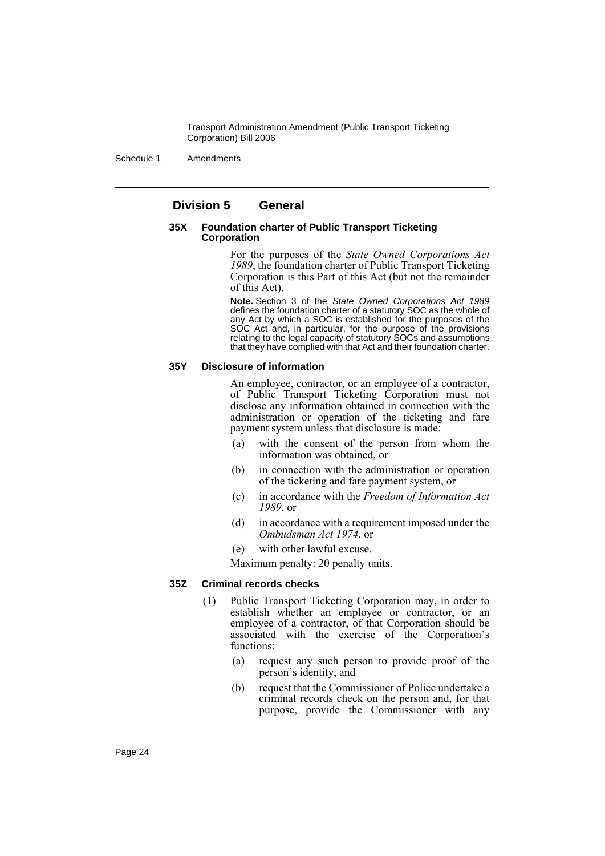Schedule 1 Amendments

# **Division 5 General**

#### **35X Foundation charter of Public Transport Ticketing Corporation**

For the purposes of the *State Owned Corporations Act 1989*, the foundation charter of Public Transport Ticketing Corporation is this Part of this Act (but not the remainder of this Act).

**Note.** Section 3 of the *State Owned Corporations Act 1989* defines the foundation charter of a statutory SOC as the whole of any Act by which a SOC is established for the purposes of the SOC Act and, in particular, for the purpose of the provisions relating to the legal capacity of statutory SOCs and assumptions that they have complied with that Act and their foundation charter.

#### **35Y Disclosure of information**

An employee, contractor, or an employee of a contractor, of Public Transport Ticketing Corporation must not disclose any information obtained in connection with the administration or operation of the ticketing and fare payment system unless that disclosure is made:

- (a) with the consent of the person from whom the information was obtained, or
- (b) in connection with the administration or operation of the ticketing and fare payment system, or
- (c) in accordance with the *Freedom of Information Act 1989*, or
- (d) in accordance with a requirement imposed under the *Ombudsman Act 1974*, or
- (e) with other lawful excuse.

Maximum penalty: 20 penalty units.

#### **35Z Criminal records checks**

- (1) Public Transport Ticketing Corporation may, in order to establish whether an employee or contractor, or an employee of a contractor, of that Corporation should be associated with the exercise of the Corporation's functions:
	- (a) request any such person to provide proof of the person's identity, and
	- (b) request that the Commissioner of Police undertake a criminal records check on the person and, for that purpose, provide the Commissioner with any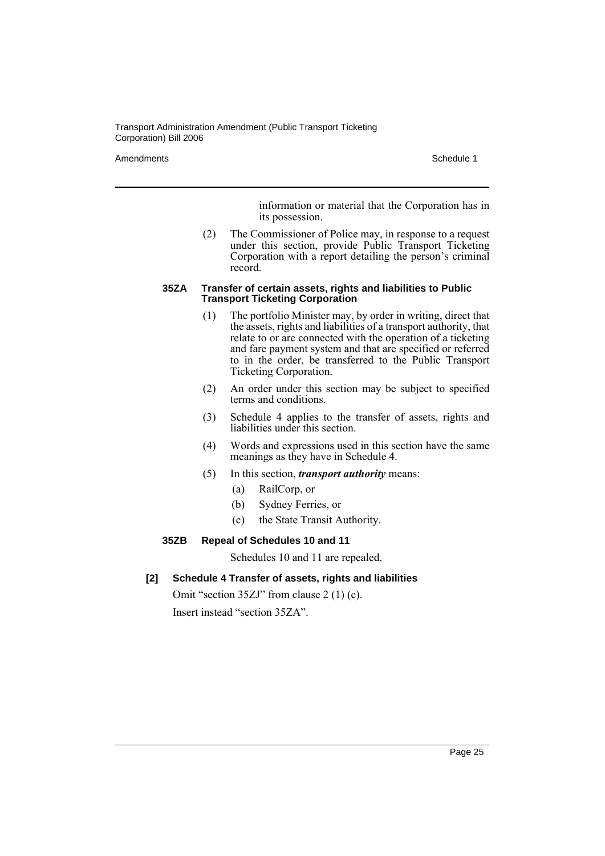Amendments **Schedule 1** and the set of the set of the set of the set of the set of the set of the set of the set of the set of the set of the set of the set of the set of the set of the set of the set of the set of the set

information or material that the Corporation has in its possession.

(2) The Commissioner of Police may, in response to a request under this section, provide Public Transport Ticketing Corporation with a report detailing the person's criminal record.

#### **35ZA Transfer of certain assets, rights and liabilities to Public Transport Ticketing Corporation**

- (1) The portfolio Minister may, by order in writing, direct that the assets, rights and liabilities of a transport authority, that relate to or are connected with the operation of a ticketing and fare payment system and that are specified or referred to in the order, be transferred to the Public Transport Ticketing Corporation.
- (2) An order under this section may be subject to specified terms and conditions.
- (3) Schedule 4 applies to the transfer of assets, rights and liabilities under this section.
- (4) Words and expressions used in this section have the same meanings as they have in Schedule 4.
- (5) In this section, *transport authority* means:
	- (a) RailCorp, or
	- (b) Sydney Ferries, or
	- (c) the State Transit Authority.

#### **35ZB Repeal of Schedules 10 and 11**

Schedules 10 and 11 are repealed.

**[2] Schedule 4 Transfer of assets, rights and liabilities**

Omit "section 35ZJ" from clause 2 (1) (c). Insert instead "section 35ZA".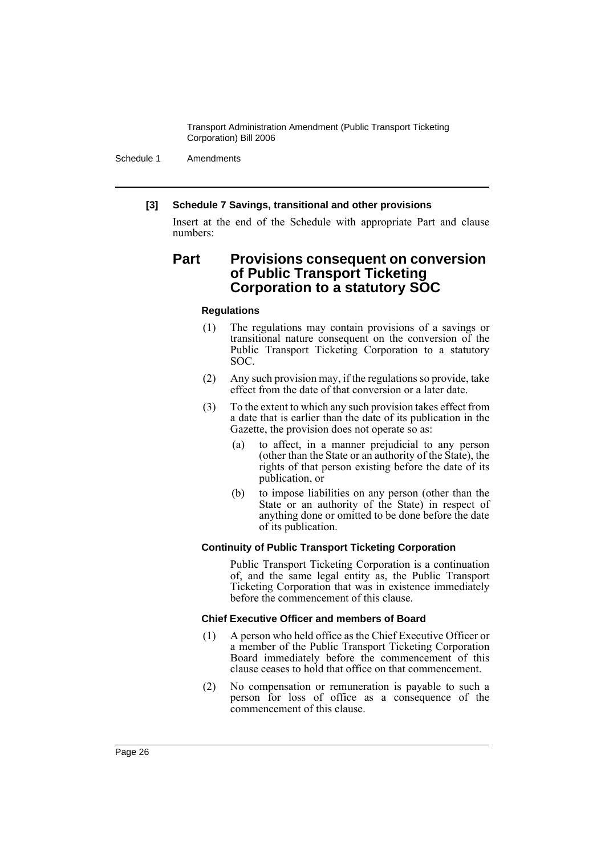Schedule 1 Amendments

#### **[3] Schedule 7 Savings, transitional and other provisions**

Insert at the end of the Schedule with appropriate Part and clause numbers:

# **Part Provisions consequent on conversion of Public Transport Ticketing Corporation to a statutory SOC**

#### **Regulations**

- (1) The regulations may contain provisions of a savings or transitional nature consequent on the conversion of the Public Transport Ticketing Corporation to a statutory SOC.
- (2) Any such provision may, if the regulations so provide, take effect from the date of that conversion or a later date.
- (3) To the extent to which any such provision takes effect from a date that is earlier than the date of its publication in the Gazette, the provision does not operate so as:
	- (a) to affect, in a manner prejudicial to any person (other than the State or an authority of the State), the rights of that person existing before the date of its publication, or
	- (b) to impose liabilities on any person (other than the State or an authority of the State) in respect of anything done or omitted to be done before the date of its publication.

#### **Continuity of Public Transport Ticketing Corporation**

Public Transport Ticketing Corporation is a continuation of, and the same legal entity as, the Public Transport Ticketing Corporation that was in existence immediately before the commencement of this clause.

#### **Chief Executive Officer and members of Board**

- (1) A person who held office as the Chief Executive Officer or a member of the Public Transport Ticketing Corporation Board immediately before the commencement of this clause ceases to hold that office on that commencement.
- (2) No compensation or remuneration is payable to such a person for loss of office as a consequence of the commencement of this clause.